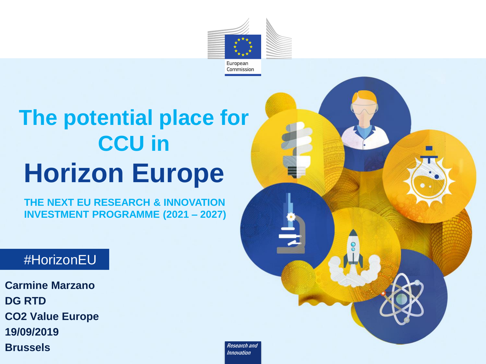

# **Horizon Europe The potential place for CCU in**

**THE NEXT EU RESEARCH & INNOVATION INVESTMENT PROGRAMME (2021 – 2027)**

### *#*HorizonEU

**Carmine Marzano DG RTD CO2 Value Europe 19/09/2019 Brussels** 



Research and Innovation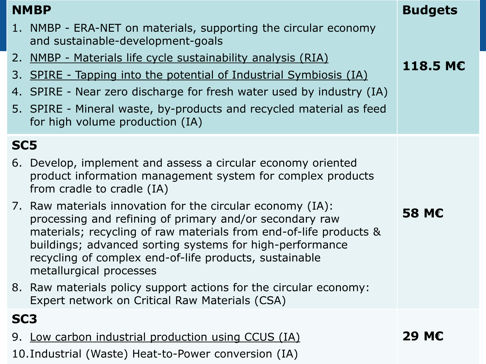1. NMBP - ERA-NET on materials, supporting the circular economy and sustainable-development-goals

- 2. NMBP Materials life cycle sustainability analysis (RIA)
- 3. SPIRE Tapping into the potential of Industrial Symbiosis (IA)
- 4. SPIRE Near zero discharge for fresh water used by industry (IA)
- 5. SPIRE Mineral waste, by-products and recycled material as feed for high volume production (IA)

### **SC5**

**NMBP**

- 6. Develop, implement and assess a circular economy oriented product information management system for complex products from cradle to cradle (IA)
- 7. Raw materials innovation for the circular economy (IA): processing and refining of primary and/or secondary raw materials; recycling of raw materials from end-of-life products & buildings; advanced sorting systems for high-performance recycling of complex end-of-life products, sustainable metallurgical processes
- 8. Raw materials policy support actions for the circular economy: Expert network on Critical Raw Materials (CSA)

### **SC3**

9. Low carbon industrial production using CCUS (IA)

10.Industrial (Waste) Heat-to-Power conversion (IA)

#### **29 M€**

**58 M€**

**Budgets**

**118.5 M€**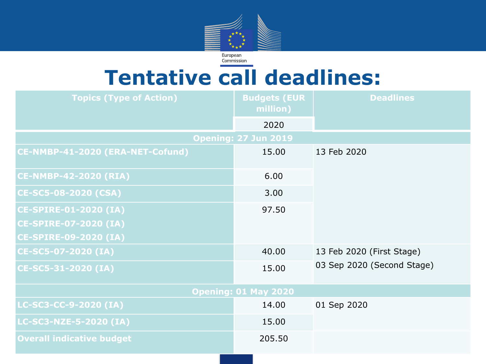

### **Tentative call deadlines:**

| <b>Topics (Type of Action)</b>   | <b>Budgets (EUR</b><br>million) | <b>Deadlines</b>                                        |  |  |  |  |  |
|----------------------------------|---------------------------------|---------------------------------------------------------|--|--|--|--|--|
|                                  | 2020                            |                                                         |  |  |  |  |  |
| <b>Opening: 27 Jun 2019</b>      |                                 |                                                         |  |  |  |  |  |
| CE-NMBP-41-2020 (ERA-NET-Cofund) | 15.00                           | 13 Feb 2020                                             |  |  |  |  |  |
| <b>CE-NMBP-42-2020 (RIA)</b>     | 6.00                            |                                                         |  |  |  |  |  |
| CE-SC5-08-2020 (CSA)             | 3.00                            |                                                         |  |  |  |  |  |
| <b>CE-SPIRE-01-2020 (IA)</b>     | 97.50                           |                                                         |  |  |  |  |  |
| <b>CE-SPIRE-07-2020 (IA)</b>     |                                 |                                                         |  |  |  |  |  |
| <b>CE-SPIRE-09-2020 (IA)</b>     |                                 |                                                         |  |  |  |  |  |
| CE-SC5-07-2020 (IA)              | 40.00                           | 13 Feb 2020 (First Stage)<br>03 Sep 2020 (Second Stage) |  |  |  |  |  |
| CE-SC5-31-2020 (IA)              | 15.00                           |                                                         |  |  |  |  |  |
| <b>Opening: 01 May 2020</b>      |                                 |                                                         |  |  |  |  |  |
| LC-SC3-CC-9-2020 (IA)            | 14.00                           | 01 Sep 2020                                             |  |  |  |  |  |
| LC-SC3-NZE-5-2020 (IA)           | 15.00                           |                                                         |  |  |  |  |  |
| <b>Overall indicative budget</b> | 205.50                          |                                                         |  |  |  |  |  |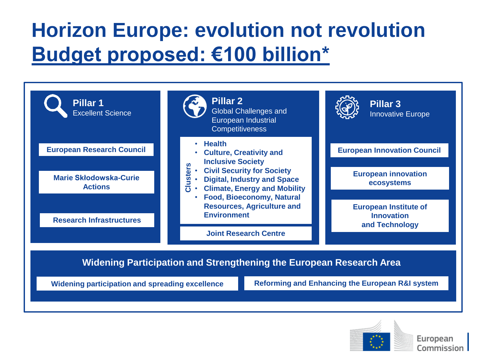# **Horizon Europe: evolution not revolution Budget proposed: €100 billion\***





European Commission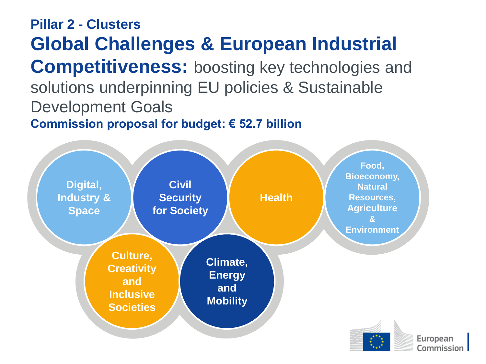**Pillar 2 - Clusters Global Challenges & European Industrial Competitiveness:** boosting key technologies and solutions underpinning EU policies & Sustainable Development Goals **Commission proposal for budget: € 52.7 billion**

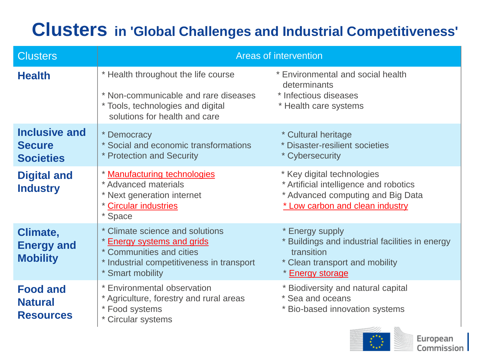### **Clusters in 'Global Challenges and Industrial Competitiveness'**

| <b>Clusters</b>                                           | <b>Areas of intervention</b>                                                                                                                               |                                                                                                                                              |  |  |
|-----------------------------------------------------------|------------------------------------------------------------------------------------------------------------------------------------------------------------|----------------------------------------------------------------------------------------------------------------------------------------------|--|--|
| <b>Health</b>                                             | * Health throughout the life course<br>* Non-communicable and rare diseases<br>* Tools, technologies and digital<br>solutions for health and care          | * Environmental and social health<br>determinants<br>* Infectious diseases<br>* Health care systems                                          |  |  |
| <b>Inclusive and</b><br><b>Secure</b><br><b>Societies</b> | * Democracy<br>* Social and economic transformations<br>* Protection and Security                                                                          | * Cultural heritage<br>* Disaster-resilient societies<br>* Cybersecurity                                                                     |  |  |
| <b>Digital and</b><br><b>Industry</b>                     | * Manufacturing technologies<br>* Advanced materials<br>* Next generation internet<br>* Circular industries<br>* Space                                     | * Key digital technologies<br>* Artificial intelligence and robotics<br>* Advanced computing and Big Data<br>* Low carbon and clean industry |  |  |
| Climate,<br><b>Energy and</b><br><b>Mobility</b>          | * Climate science and solutions<br>* Energy systems and grids<br>* Communities and cities<br>* Industrial competitiveness in transport<br>* Smart mobility | * Energy supply<br>* Buildings and industrial facilities in energy<br>transition<br>* Clean transport and mobility<br>* Energy storage       |  |  |
| <b>Food and</b><br><b>Natural</b><br><b>Resources</b>     | * Environmental observation<br>* Agriculture, forestry and rural areas<br>* Food systems<br>* Circular systems                                             | * Biodiversity and natural capital<br>* Sea and oceans<br>* Bio-based innovation systems                                                     |  |  |



European Commission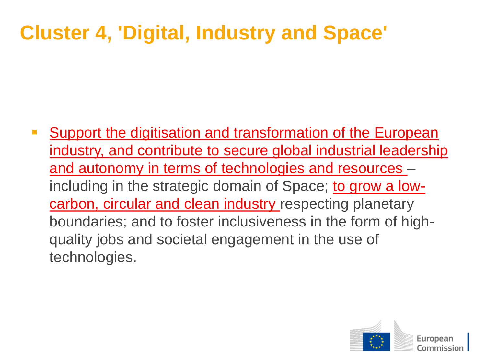# **Cluster 4, 'Digital, Industry and Space'**

 Support the digitisation and transformation of the European industry, and contribute to secure global industrial leadership and autonomy in terms of technologies and resources – including in the strategic domain of Space; to grow a lowcarbon, circular and clean industry respecting planetary boundaries; and to foster inclusiveness in the form of highquality jobs and societal engagement in the use of technologies.

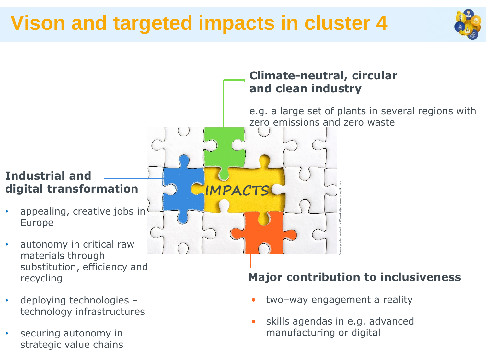# **Vison and targeted impacts in cluster 4**





- deploying technologies technology infrastructures
- securing autonomy in strategic value chains
- two-way engagement a reality
- skills agendas in e.g. advanced manufacturing or digital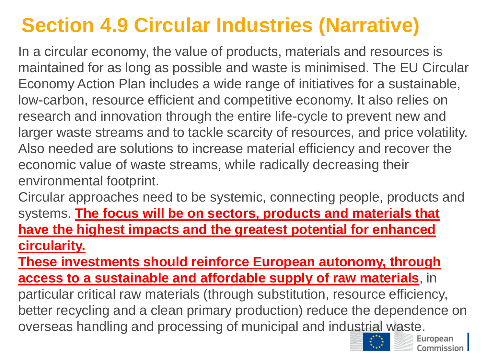# **Section 4.9 Circular Industries (Narrative)**

In a circular economy, the value of products, materials and resources is maintained for as long as possible and waste is minimised. The EU Circular Economy Action Plan includes a wide range of initiatives for a sustainable, low-carbon, resource efficient and competitive economy. It also relies on research and innovation through the entire life-cycle to prevent new and larger waste streams and to tackle scarcity of resources, and price volatility. Also needed are solutions to increase material efficiency and recover the economic value of waste streams, while radically decreasing their environmental footprint.

Circular approaches need to be systemic, connecting people, products and systems. **The focus will be on sectors, products and materials that have the highest impacts and the greatest potential for enhanced circularity.** 

**These investments should reinforce European autonomy, through access to a sustainable and affordable supply of raw materials**, in particular critical raw materials (through substitution, resource efficiency, better recycling and a clean primary production) reduce the dependence on overseas handling and processing of municipal and industrial waste.

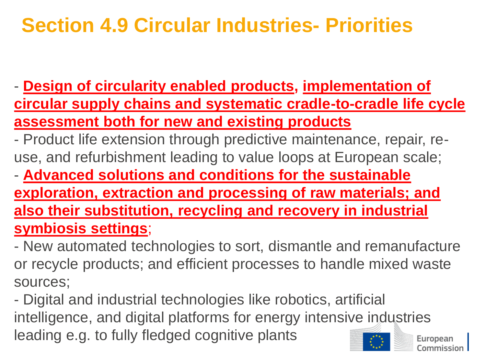# **Section 4.9 Circular Industries- Priorities**

- **Design of circularity enabled products, implementation of circular supply chains and systematic cradle-to-cradle life cycle assessment both for new and existing products** 

- Product life extension through predictive maintenance, repair, reuse, and refurbishment leading to value loops at European scale;
- **Advanced solutions and conditions for the sustainable exploration, extraction and processing of raw materials; and also their substitution, recycling and recovery in industrial symbiosis settings**;
- New automated technologies to sort, dismantle and remanufacture or recycle products; and efficient processes to handle mixed waste sources;

- Digital and industrial technologies like robotics, artificial intelligence, and digital platforms for energy intensive industries leading e.g. to fully fledged cognitive plants Europear `ommission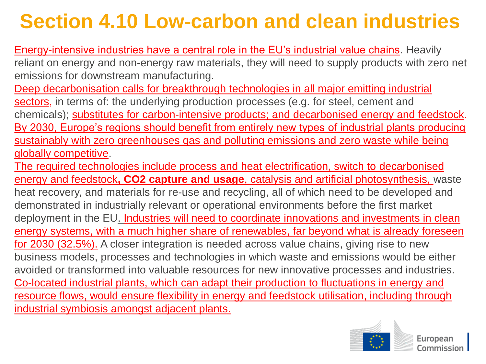# **Section 4.10 Low-carbon and clean industries**

Energy-intensive industries have a central role in the EU's industrial value chains. Heavily reliant on energy and non-energy raw materials, they will need to supply products with zero net emissions for downstream manufacturing.

Deep decarbonisation calls for breakthrough technologies in all major emitting industrial sectors, in terms of: the underlying production processes (e.g. for steel, cement and chemicals); substitutes for carbon-intensive products; and decarbonised energy and feedstock. By 2030, Europe's regions should benefit from entirely new types of industrial plants producing sustainably with zero greenhouses gas and polluting emissions and zero waste while being globally competitive.

The required technologies include process and heat electrification, switch to decarbonised energy and feedstock**, CO2 capture and usage**, catalysis and artificial photosynthesis, waste heat recovery, and materials for re-use and recycling, all of which need to be developed and demonstrated in industrially relevant or operational environments before the first market deployment in the EU. Industries will need to coordinate innovations and investments in clean energy systems, with a much higher share of renewables, far beyond what is already foreseen for 2030 (32.5%). A closer integration is needed across value chains, giving rise to new business models, processes and technologies in which waste and emissions would be either avoided or transformed into valuable resources for new innovative processes and industries. Co-located industrial plants, which can adapt their production to fluctuations in energy and resource flows, would ensure flexibility in energy and feedstock utilisation, including through industrial symbiosis amongst adjacent plants.

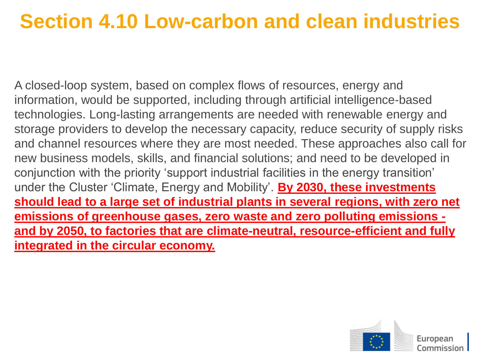# **Section 4.10 Low-carbon and clean industries**

A closed-loop system, based on complex flows of resources, energy and information, would be supported, including through artificial intelligence-based technologies. Long-lasting arrangements are needed with renewable energy and storage providers to develop the necessary capacity, reduce security of supply risks and channel resources where they are most needed. These approaches also call for new business models, skills, and financial solutions; and need to be developed in conjunction with the priority 'support industrial facilities in the energy transition' under the Cluster 'Climate, Energy and Mobility'. **By 2030, these investments should lead to a large set of industrial plants in several regions, with zero net emissions of greenhouse gases, zero waste and zero polluting emissions and by 2050, to factories that are climate-neutral, resource-efficient and fully integrated in the circular economy.** 

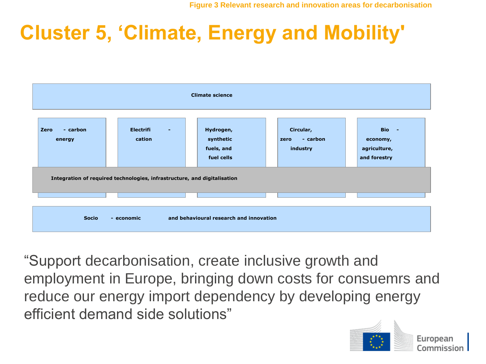# **Cluster 5, 'Climate, Energy and Mobility'**

| <b>Climate science</b>                                                   |                                              |                                                    |                                           |                                                   |  |  |
|--------------------------------------------------------------------------|----------------------------------------------|----------------------------------------------------|-------------------------------------------|---------------------------------------------------|--|--|
| Zero<br>- carbon<br>energy                                               | <b>Electrifi</b><br>$\blacksquare$<br>cation | Hydrogen,<br>synthetic<br>fuels, and<br>fuel cells | Circular,<br>- carbon<br>zero<br>industry | Bio -<br>economy,<br>agriculture,<br>and forestry |  |  |
| Integration of required technologies, infrastructure, and digitalisation |                                              |                                                    |                                           |                                                   |  |  |
| and behavioural research and innovation<br><b>Socio</b><br>- economic    |                                              |                                                    |                                           |                                                   |  |  |

"Support decarbonisation, create inclusive growth and employment in Europe, bringing down costs for consuemrs and reduce our energy import dependency by developing energy efficient demand side solutions"

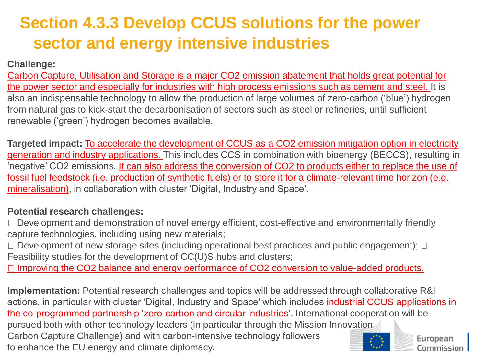### **Section 4.3.3 Develop CCUS solutions for the power sector and energy intensive industries**

#### **Challenge:**

Carbon Capture, Utilisation and Storage is a major CO2 emission abatement that holds great potential for the power sector and especially for industries with high process emissions such as cement and steel. It is also an indispensable technology to allow the production of large volumes of zero-carbon ('blue') hydrogen from natural gas to kick-start the decarbonisation of sectors such as steel or refineries, until sufficient renewable ('green') hydrogen becomes available.

**Targeted impact:** To accelerate the development of CCUS as a CO2 emission mitigation option in electricity generation and industry applications. This includes CCS in combination with bioenergy (BECCS), resulting in 'negative' CO2 emissions. It can also address the conversion of CO2 to products either to replace the use of fossil fuel feedstock (i.e. production of synthetic fuels) or to store it for a climate-relevant time horizon (e.g. mineralisation), in collaboration with cluster 'Digital, Industry and Space'.

#### **Potential research challenges:**

- □ Development and demonstration of novel energy efficient, cost-effective and environmentally friendly capture technologies, including using new materials;
- $\Box$  Development of new storage sites (including operational best practices and public engagement);  $\Box$ Feasibility studies for the development of CC(U)S hubs and clusters;

 $\Box$  Improving the CO2 balance and energy performance of CO2 conversion to value-added products.

**Implementation:** Potential research challenges and topics will be addressed through collaborative R&I actions, in particular with cluster 'Digital, Industry and Space' which includes industrial CCUS applications in the co-programmed partnership 'zero-carbon and circular industries'. International cooperation will be pursued both with other technology leaders (in particular through the Mission Innovation Carbon Capture Challenge) and with carbon-intensive technology followers European to enhance the EU energy and climate diplomacy. Commission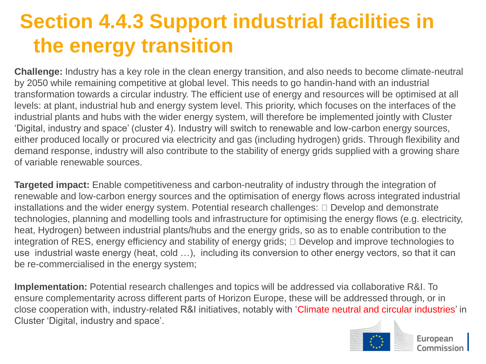# **Section 4.4.3 Support industrial facilities in the energy transition**

**Challenge:** Industry has a key role in the clean energy transition, and also needs to become climate-neutral by 2050 while remaining competitive at global level. This needs to go handin-hand with an industrial transformation towards a circular industry. The efficient use of energy and resources will be optimised at all levels: at plant, industrial hub and energy system level. This priority, which focuses on the interfaces of the industrial plants and hubs with the wider energy system, will therefore be implemented jointly with Cluster 'Digital, industry and space' (cluster 4). Industry will switch to renewable and low-carbon energy sources, either produced locally or procured via electricity and gas (including hydrogen) grids. Through flexibility and demand response, industry will also contribute to the stability of energy grids supplied with a growing share of variable renewable sources.

**Targeted impact:** Enable competitiveness and carbon-neutrality of industry through the integration of renewable and low-carbon energy sources and the optimisation of energy flows across integrated industrial installations and the wider energy system. Potential research challenges:  $\Box$  Develop and demonstrate technologies, planning and modelling tools and infrastructure for optimising the energy flows (e.g. electricity, heat, Hydrogen) between industrial plants/hubs and the energy grids, so as to enable contribution to the integration of RES, energy efficiency and stability of energy grids;  $\Box$  Develop and improve technologies to use industrial waste energy (heat, cold …), including its conversion to other energy vectors, so that it can be re-commercialised in the energy system;

**Implementation:** Potential research challenges and topics will be addressed via collaborative R&I. To ensure complementarity across different parts of Horizon Europe, these will be addressed through, or in close cooperation with, industry-related R&I initiatives, notably with 'Climate neutral and circular industries' in Cluster 'Digital, industry and space'.



European Commission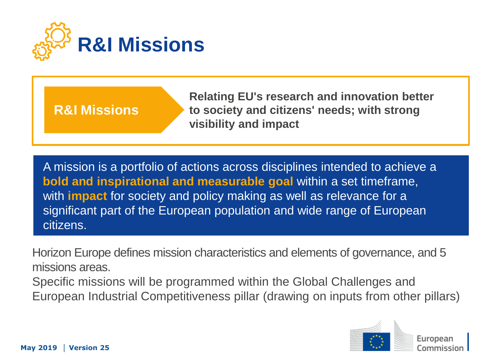

### **R&I Missions**

**Relating EU's research and innovation better to society and citizens' needs; with strong visibility and impact**

A mission is a portfolio of actions across disciplines intended to achieve a **bold and inspirational and measurable goal** within a set timeframe, with **impact** for society and policy making as well as relevance for a significant part of the European population and wide range of European citizens.

Horizon Europe defines mission characteristics and elements of governance, and 5 missions areas.

Specific missions will be programmed within the Global Challenges and European Industrial Competitiveness pillar (drawing on inputs from other pillars)

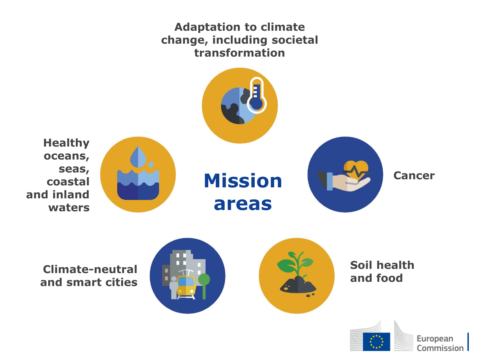#### **Adaptation to climate change, including societal transformation**



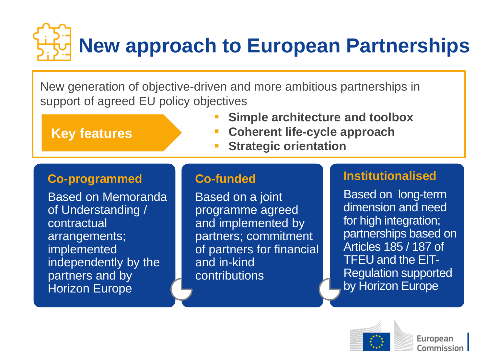# **New approach to European Partnerships**

New generation of objective-driven and more ambitious partnerships in support of agreed EU policy objectives

**Key features**

- **Simple architecture and toolbox**
- **Coherent life-cycle approach**
- **Strategic orientation**

#### **Co-programmed**

Based on Memoranda of Understanding / contractual arrangements; implemented independently by the partners and by Horizon Europe

#### **Co-funded**

Based on a joint programme agreed and implemented by partners; commitment of partners for financial and in-kind **contributions** 

#### **Institutionalised**

Based on long-term dimension and need for high integration; partnerships based on Articles 185 / 187 of TFEU and the EIT-Regulation supported by Horizon Europe

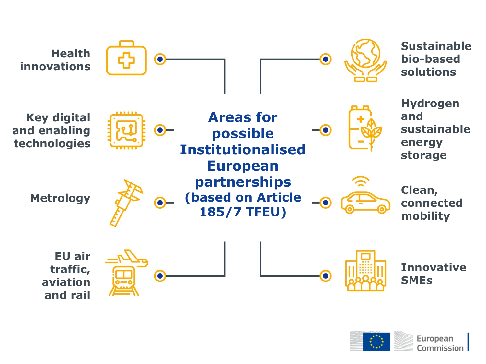

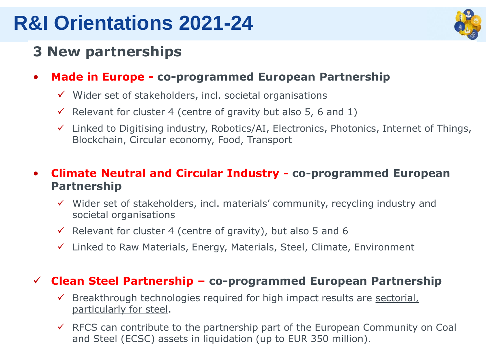### **R&I Orientations 2021-24**



### **3 New partnerships**

- **Made in Europe - co-programmed European Partnership**
	- $\checkmark$  Wider set of stakeholders, incl. societal organisations
	- $\checkmark$  Relevant for cluster 4 (centre of gravity but also 5, 6 and 1)
	- $\checkmark$  Linked to Digitising industry, Robotics/AI, Electronics, Photonics, Internet of Things, Blockchain, Circular economy, Food, Transport
- **Climate Neutral and Circular Industry - co-programmed European Partnership**
	- $\checkmark$  Wider set of stakeholders, incl. materials' community, recycling industry and societal organisations
	- $\checkmark$  Relevant for cluster 4 (centre of gravity), but also 5 and 6
	- $\checkmark$  Linked to Raw Materials, Energy, Materials, Steel, Climate, Environment

#### **Clean Steel Partnership – co-programmed European Partnership**

- $\checkmark$  Breakthrough technologies required for high impact results are sectorial, particularly for steel.
- $\checkmark$  RFCS can contribute to the partnership part of the European Community on Coal and Steel (ECSC) assets in liquidation (up to EUR 350 million).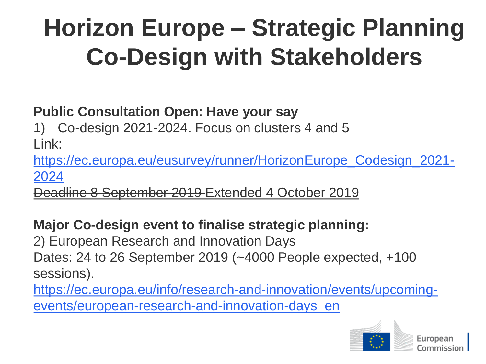# **Horizon Europe – Strategic Planning Co-Design with Stakeholders**

### **Public Consultation Open: Have your say**

1) Co-design 2021-2024. Focus on clusters 4 and 5 Link:

[https://ec.europa.eu/eusurvey/runner/HorizonEurope\\_Codesign\\_2021-](https://ec.europa.eu/eusurvey/runner/HorizonEurope_Codesign_2021-2024) 2024

Deadline 8 September 2019 Extended 4 October 2019

### **Major Co-design event to finalise strategic planning:**

2) European Research and Innovation Days Dates: 24 to 26 September 2019 (~4000 People expected, +100 sessions).

[https://ec.europa.eu/info/research-and-innovation/events/upcoming](https://ec.europa.eu/info/research-and-innovation/events/upcoming-events/european-research-and-innovation-days_en)events/european-research-and-innovation-days\_en

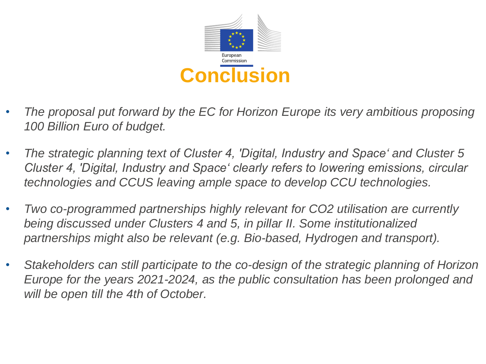

- *The proposal put forward by the EC for Horizon Europe its very ambitious proposing 100 Billion Euro of budget.*
- *The strategic planning text of Cluster 4, 'Digital, Industry and Space' and Cluster 5 Cluster 4, 'Digital, Industry and Space' clearly refers to lowering emissions, circular technologies and CCUS leaving ample space to develop CCU technologies.*
- *Two co-programmed partnerships highly relevant for CO2 utilisation are currently being discussed under Clusters 4 and 5, in pillar II. Some institutionalized partnerships might also be relevant (e.g. Bio-based, Hydrogen and transport).*
- *Stakeholders can still participate to the co-design of the strategic planning of Horizon Europe for the years 2021-2024, as the public consultation has been prolonged and will be open till the 4th of October.*